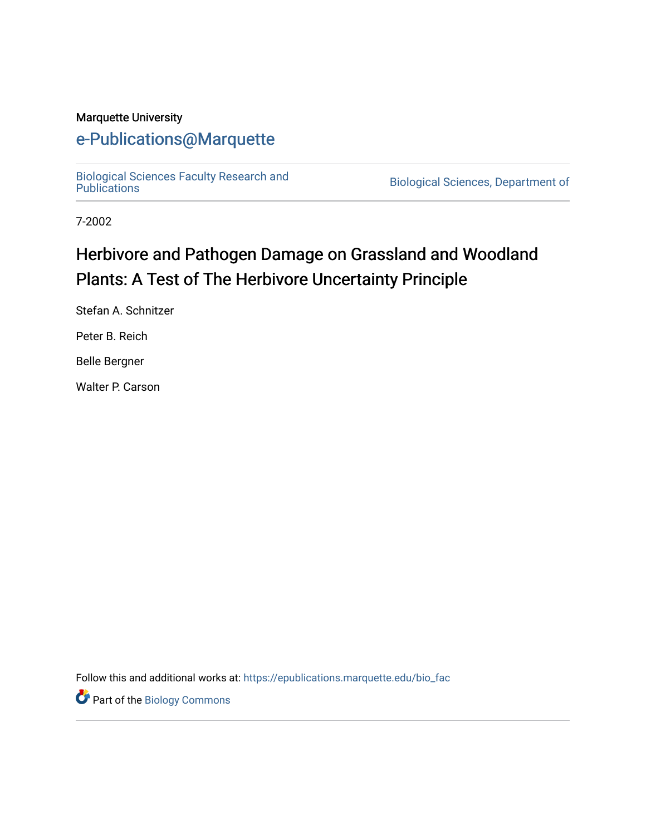#### Marquette University

## [e-Publications@Marquette](https://epublications.marquette.edu/)

[Biological Sciences Faculty Research and](https://epublications.marquette.edu/bio_fac) 

Biological Sciences, Department of

7-2002

# Herbivore and Pathogen Damage on Grassland and Woodland Plants: A Test of The Herbivore Uncertainty Principle

Stefan A. Schnitzer

Peter B. Reich

Belle Bergner

Walter P. Carson

Follow this and additional works at: [https://epublications.marquette.edu/bio\\_fac](https://epublications.marquette.edu/bio_fac?utm_source=epublications.marquette.edu%2Fbio_fac%2F723&utm_medium=PDF&utm_campaign=PDFCoverPages) 

Part of the [Biology Commons](http://network.bepress.com/hgg/discipline/41?utm_source=epublications.marquette.edu%2Fbio_fac%2F723&utm_medium=PDF&utm_campaign=PDFCoverPages)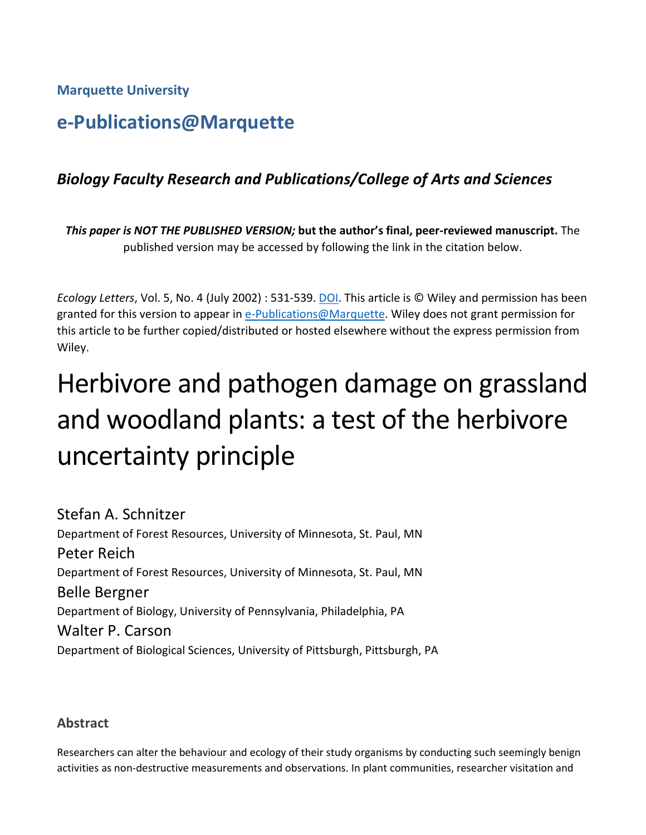**Marquette University**

# **e-Publications@Marquette**

## *Biology Faculty Research and Publications/College of Arts and Sciences*

*This paper is NOT THE PUBLISHED VERSION;* **but the author's final, peer-reviewed manuscript.** The published version may be accessed by following the link in the citation below.

*Ecology Letters*, Vol. 5, No. 4 (July 2002) : 531-539. [DOI.](https://onlinelibrary.wiley.com/doi/full/10.1046/j.1461-0248.2002.00357.x) This article is © Wiley and permission has been granted for this version to appear in [e-Publications@Marquette.](http://epublications.marquette.edu/) Wiley does not grant permission for this article to be further copied/distributed or hosted elsewhere without the express permission from Wiley.

# Herbivore and pathogen damage on grassland and woodland plants: a test of the herbivore uncertainty principle

Stefan A. Schnitzer Department of Forest Resources, University of Minnesota, St. Paul, MN Peter Reich Department of Forest Resources, University of Minnesota, St. Paul, MN Belle Bergner Department of Biology, University of Pennsylvania, Philadelphia, PA Walter P. Carson Department of Biological Sciences, University of Pittsburgh, Pittsburgh, PA

### **Abstract**

Researchers can alter the behaviour and ecology of their study organisms by conducting such seemingly benign activities as non-destructive measurements and observations. In plant communities, researcher visitation and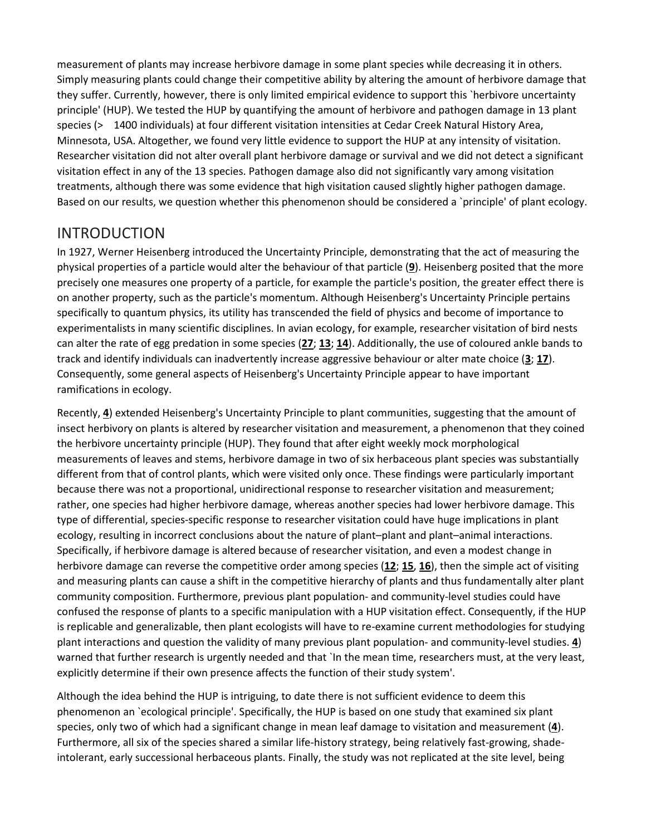measurement of plants may increase herbivore damage in some plant species while decreasing it in others. Simply measuring plants could change their competitive ability by altering the amount of herbivore damage that they suffer. Currently, however, there is only limited empirical evidence to support this `herbivore uncertainty principle' (HUP). We tested the HUP by quantifying the amount of herbivore and pathogen damage in 13 plant species (> 1400 individuals) at four different visitation intensities at Cedar Creek Natural History Area, Minnesota, USA. Altogether, we found very little evidence to support the HUP at any intensity of visitation. Researcher visitation did not alter overall plant herbivore damage or survival and we did not detect a significant visitation effect in any of the 13 species. Pathogen damage also did not significantly vary among visitation treatments, although there was some evidence that high visitation caused slightly higher pathogen damage. Based on our results, we question whether this phenomenon should be considered a `principle' of plant ecology.

## INTRODUCTION

In 1927, Werner Heisenberg introduced the Uncertainty Principle, demonstrating that the act of measuring the physical properties of a particle would alter the behaviour of that particle (**[9](https://onlinelibrary.wiley.com/doi/full/10.1046/j.1461-0248.2002.00357.x#b9)**). Heisenberg posited that the more precisely one measures one property of a particle, for example the particle's position, the greater effect there is on another property, such as the particle's momentum. Although Heisenberg's Uncertainty Principle pertains specifically to quantum physics, its utility has transcended the field of physics and become of importance to experimentalists in many scientific disciplines. In avian ecology, for example, researcher visitation of bird nests can alter the rate of egg predation in some species (**[27](https://onlinelibrary.wiley.com/doi/full/10.1046/j.1461-0248.2002.00357.x#b27)**; **[13](https://onlinelibrary.wiley.com/doi/full/10.1046/j.1461-0248.2002.00357.x#b13)**; **[14](https://onlinelibrary.wiley.com/doi/full/10.1046/j.1461-0248.2002.00357.x#b14)**). Additionally, the use of coloured ankle bands to track and identify individuals can inadvertently increase aggressive behaviour or alter mate choice (**[3](https://onlinelibrary.wiley.com/doi/full/10.1046/j.1461-0248.2002.00357.x#b3)**; **[17](https://onlinelibrary.wiley.com/doi/full/10.1046/j.1461-0248.2002.00357.x#b17)**). Consequently, some general aspects of Heisenberg's Uncertainty Principle appear to have important ramifications in ecology.

Recently, **[4](https://onlinelibrary.wiley.com/doi/full/10.1046/j.1461-0248.2002.00357.x#b4)**) extended Heisenberg's Uncertainty Principle to plant communities, suggesting that the amount of insect herbivory on plants is altered by researcher visitation and measurement, a phenomenon that they coined the herbivore uncertainty principle (HUP). They found that after eight weekly mock morphological measurements of leaves and stems, herbivore damage in two of six herbaceous plant species was substantially different from that of control plants, which were visited only once. These findings were particularly important because there was not a proportional, unidirectional response to researcher visitation and measurement; rather, one species had higher herbivore damage, whereas another species had lower herbivore damage. This type of differential, species-specific response to researcher visitation could have huge implications in plant ecology, resulting in incorrect conclusions about the nature of plant–plant and plant–animal interactions. Specifically, if herbivore damage is altered because of researcher visitation, and even a modest change in herbivore damage can reverse the competitive order among species (**[12](https://onlinelibrary.wiley.com/doi/full/10.1046/j.1461-0248.2002.00357.x#b12)**; **[15](https://onlinelibrary.wiley.com/doi/full/10.1046/j.1461-0248.2002.00357.x#b15)**, **[16](https://onlinelibrary.wiley.com/doi/full/10.1046/j.1461-0248.2002.00357.x#b16)**), then the simple act of visiting and measuring plants can cause a shift in the competitive hierarchy of plants and thus fundamentally alter plant community composition. Furthermore, previous plant population- and community-level studies could have confused the response of plants to a specific manipulation with a HUP visitation effect. Consequently, if the HUP is replicable and generalizable, then plant ecologists will have to re-examine current methodologies for studying plant interactions and question the validity of many previous plant population- and community-level studies. **[4](https://onlinelibrary.wiley.com/doi/full/10.1046/j.1461-0248.2002.00357.x#b4)**) warned that further research is urgently needed and that `In the mean time, researchers must, at the very least, explicitly determine if their own presence affects the function of their study system'.

Although the idea behind the HUP is intriguing, to date there is not sufficient evidence to deem this phenomenon an `ecological principle'. Specifically, the HUP is based on one study that examined six plant species, only two of which had a significant change in mean leaf damage to visitation and measurement (**[4](https://onlinelibrary.wiley.com/doi/full/10.1046/j.1461-0248.2002.00357.x#b4)**). Furthermore, all six of the species shared a similar life-history strategy, being relatively fast-growing, shadeintolerant, early successional herbaceous plants. Finally, the study was not replicated at the site level, being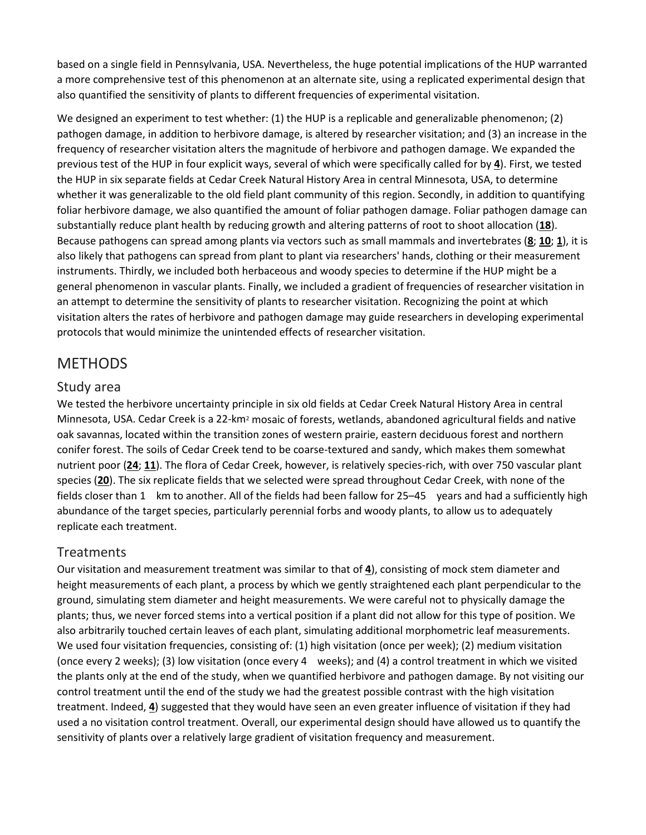based on a single field in Pennsylvania, USA. Nevertheless, the huge potential implications of the HUP warranted a more comprehensive test of this phenomenon at an alternate site, using a replicated experimental design that also quantified the sensitivity of plants to different frequencies of experimental visitation.

We designed an experiment to test whether: (1) the HUP is a replicable and generalizable phenomenon; (2) pathogen damage, in addition to herbivore damage, is altered by researcher visitation; and (3) an increase in the frequency of researcher visitation alters the magnitude of herbivore and pathogen damage. We expanded the previous test of the HUP in four explicit ways, several of which were specifically called for by **[4](https://onlinelibrary.wiley.com/doi/full/10.1046/j.1461-0248.2002.00357.x#b4)**). First, we tested the HUP in six separate fields at Cedar Creek Natural History Area in central Minnesota, USA, to determine whether it was generalizable to the old field plant community of this region. Secondly, in addition to quantifying foliar herbivore damage, we also quantified the amount of foliar pathogen damage. Foliar pathogen damage can substantially reduce plant health by reducing growth and altering patterns of root to shoot allocation (**[18](https://onlinelibrary.wiley.com/doi/full/10.1046/j.1461-0248.2002.00357.x#b18)**). Because pathogens can spread among plants via vectors such as small mammals and invertebrates (**[8](https://onlinelibrary.wiley.com/doi/full/10.1046/j.1461-0248.2002.00357.x#b8)**; **[10](https://onlinelibrary.wiley.com/doi/full/10.1046/j.1461-0248.2002.00357.x#b10)**; **[1](https://onlinelibrary.wiley.com/doi/full/10.1046/j.1461-0248.2002.00357.x#b1)**), it is also likely that pathogens can spread from plant to plant via researchers' hands, clothing or their measurement instruments. Thirdly, we included both herbaceous and woody species to determine if the HUP might be a general phenomenon in vascular plants. Finally, we included a gradient of frequencies of researcher visitation in an attempt to determine the sensitivity of plants to researcher visitation. Recognizing the point at which visitation alters the rates of herbivore and pathogen damage may guide researchers in developing experimental protocols that would minimize the unintended effects of researcher visitation.

## METHODS

### Study area

We tested the herbivore uncertainty principle in six old fields at Cedar Creek Natural History Area in central Minnesota, USA. Cedar Creek is a 22-km2 mosaic of forests, wetlands, abandoned agricultural fields and native oak savannas, located within the transition zones of western prairie, eastern deciduous forest and northern conifer forest. The soils of Cedar Creek tend to be coarse-textured and sandy, which makes them somewhat nutrient poor (**[24](https://onlinelibrary.wiley.com/doi/full/10.1046/j.1461-0248.2002.00357.x#b24)**; **[11](https://onlinelibrary.wiley.com/doi/full/10.1046/j.1461-0248.2002.00357.x#b11)**). The flora of Cedar Creek, however, is relatively species-rich, with over 750 vascular plant species (**[20](https://onlinelibrary.wiley.com/doi/full/10.1046/j.1461-0248.2002.00357.x#b20)**). The six replicate fields that we selected were spread throughout Cedar Creek, with none of the fields closer than 1 km to another. All of the fields had been fallow for 25–45 years and had a sufficiently high abundance of the target species, particularly perennial forbs and woody plants, to allow us to adequately replicate each treatment.

## **Treatments**

Our visitation and measurement treatment was similar to that of **[4](https://onlinelibrary.wiley.com/doi/full/10.1046/j.1461-0248.2002.00357.x#b4)**), consisting of mock stem diameter and height measurements of each plant, a process by which we gently straightened each plant perpendicular to the ground, simulating stem diameter and height measurements. We were careful not to physically damage the plants; thus, we never forced stems into a vertical position if a plant did not allow for this type of position. We also arbitrarily touched certain leaves of each plant, simulating additional morphometric leaf measurements. We used four visitation frequencies, consisting of: (1) high visitation (once per week); (2) medium visitation (once every 2 weeks); (3) low visitation (once every 4 weeks); and (4) a control treatment in which we visited the plants only at the end of the study, when we quantified herbivore and pathogen damage. By not visiting our control treatment until the end of the study we had the greatest possible contrast with the high visitation treatment. Indeed, **[4](https://onlinelibrary.wiley.com/doi/full/10.1046/j.1461-0248.2002.00357.x#b4)**) suggested that they would have seen an even greater influence of visitation if they had used a no visitation control treatment. Overall, our experimental design should have allowed us to quantify the sensitivity of plants over a relatively large gradient of visitation frequency and measurement.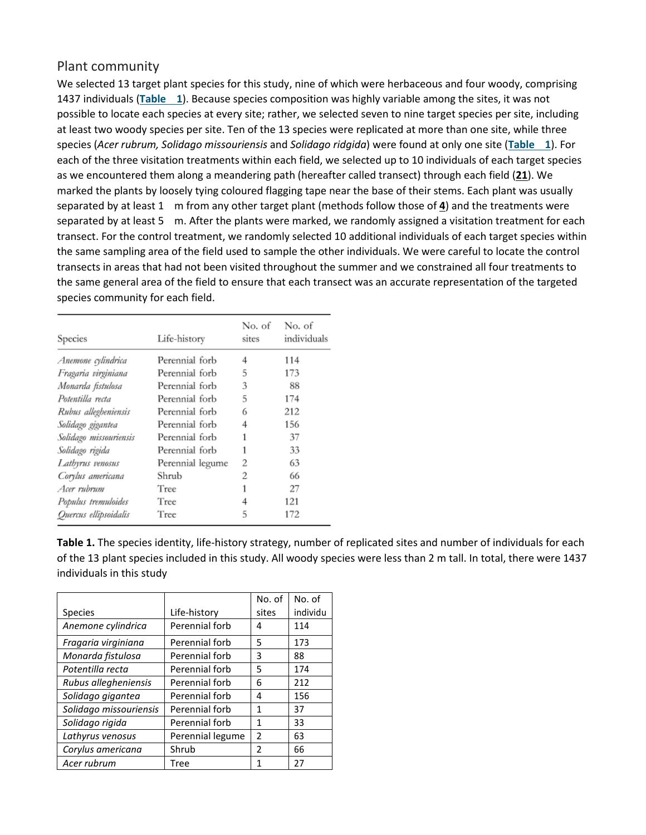#### Plant community

We selected 13 target plant species for this study, nine of which were herbaceous and four woody, comprising 1437 individuals (**[Table](https://onlinelibrary.wiley.com/doi/full/10.1046/j.1461-0248.2002.00357.x#t1) 1**). Because species composition was highly variable among the sites, it was not possible to locate each species at every site; rather, we selected seven to nine target species per site, including at least two woody species per site. Ten of the 13 species were replicated at more than one site, while three species (*Acer rubrum, Solidago missouriensis* and *Solidago ridgida*) were found at only one site (**[Table](https://onlinelibrary.wiley.com/doi/full/10.1046/j.1461-0248.2002.00357.x#t1) 1**). For each of the three visitation treatments within each field, we selected up to 10 individuals of each target species as we encountered them along a meandering path (hereafter called transect) through each field (**[21](https://onlinelibrary.wiley.com/doi/full/10.1046/j.1461-0248.2002.00357.x#b21)**). We marked the plants by loosely tying coloured flagging tape near the base of their stems. Each plant was usually separated by at least 1 m from any other target plant (methods follow those of **[4](https://onlinelibrary.wiley.com/doi/full/10.1046/j.1461-0248.2002.00357.x#b4)**) and the treatments were separated by at least 5 m. After the plants were marked, we randomly assigned a visitation treatment for each transect. For the control treatment, we randomly selected 10 additional individuals of each target species within the same sampling area of the field used to sample the other individuals. We were careful to locate the control transects in areas that had not been visited throughout the summer and we constrained all four treatments to the same general area of the field to ensure that each transect was an accurate representation of the targeted species community for each field.

| Species                | Life-history     | No. of<br>sites | No. of<br>individuals |  |  |
|------------------------|------------------|-----------------|-----------------------|--|--|
| Anemone cylindrica     | Perennial forb   |                 |                       |  |  |
| Fragaria virginiana    | Perennial forb   | 5               | 173                   |  |  |
| Monarda fistulosa      | Perennial forb   | 3               | 88                    |  |  |
| Potentilla recta       | Perennial forb   | 5               | 174                   |  |  |
| Rubus allegheniensis   | Perennial forb   | 6               | 212                   |  |  |
| Solidago gigantea      | Perennial forb   | 4               | 156                   |  |  |
| Solidago missouriensis | Perennial forb   | 1               | 37                    |  |  |
| Solidago rigida        | Perennial forb   | 1               | 33                    |  |  |
| Lathyrus venosus       | Perennial legume | 2               | 63                    |  |  |
| Corylus americana      | Shrub            | 2               | 66                    |  |  |
| Acer rubrum            | Tree             | 1               | 27                    |  |  |
| Populus tremuloides    | Tree             | 4               | 121                   |  |  |
| Quercus ellipsoidalis  | Tree             | 5               | 172                   |  |  |

**Table 1.** The species identity, life-history strategy, number of replicated sites and number of individuals for each of the 13 plant species included in this study. All woody species were less than 2 m tall. In total, there were 1437 individuals in this study

|                        |                  | No. of         | No. of   |
|------------------------|------------------|----------------|----------|
| <b>Species</b>         | Life-history     | sites          | individu |
| Anemone cylindrica     | Perennial forb   | 4              | 114      |
| Fragaria virginiana    | Perennial forb   | 5              | 173      |
| Monarda fistulosa      | Perennial forb   | 3              | 88       |
| Potentilla recta       | Perennial forb   | 5              | 174      |
| Rubus allegheniensis   | Perennial forb   | 6              | 212      |
| Solidago gigantea      | Perennial forb   | 4              | 156      |
| Solidago missouriensis | Perennial forb   | 1              | 37       |
| Solidago rigida        | Perennial forb   | 1              | 33       |
| Lathyrus venosus       | Perennial legume | 2              | 63       |
| Corylus americana      | Shrub            | $\mathfrak{p}$ | 66       |
| Acer rubrum            | Tree             |                | 27       |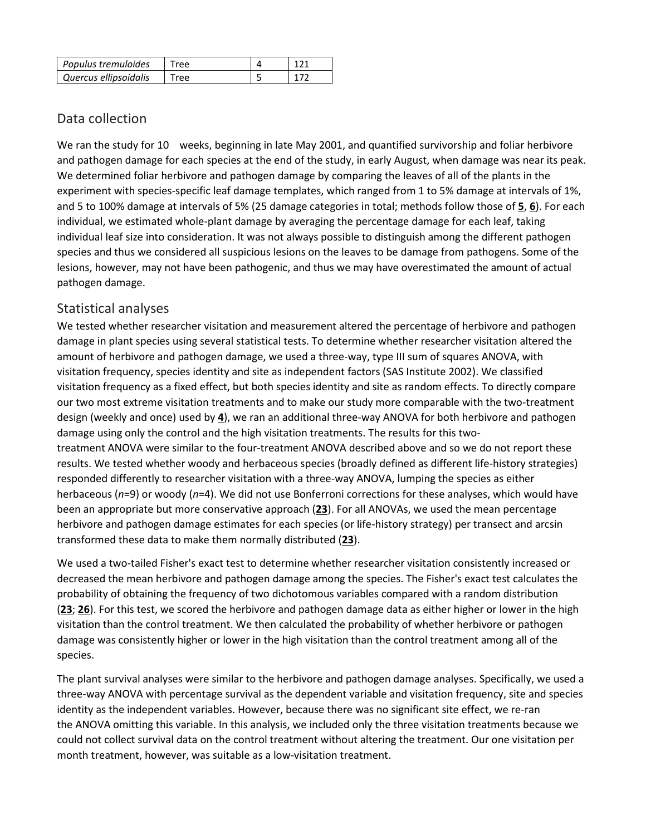| Populus tremuloides   |  |  |
|-----------------------|--|--|
| Quercus ellipsoidalis |  |  |

## Data collection

We ran the study for 10 weeks, beginning in late May 2001, and quantified survivorship and foliar herbivore and pathogen damage for each species at the end of the study, in early August, when damage was near its peak. We determined foliar herbivore and pathogen damage by comparing the leaves of all of the plants in the experiment with species-specific leaf damage templates, which ranged from 1 to 5% damage at intervals of 1%, and 5 to 100% damage at intervals of 5% (25 damage categories in total; methods follow those of **[5](https://onlinelibrary.wiley.com/doi/full/10.1046/j.1461-0248.2002.00357.x#b5)**, **[6](https://onlinelibrary.wiley.com/doi/full/10.1046/j.1461-0248.2002.00357.x#b6)**). For each individual, we estimated whole-plant damage by averaging the percentage damage for each leaf, taking individual leaf size into consideration. It was not always possible to distinguish among the different pathogen species and thus we considered all suspicious lesions on the leaves to be damage from pathogens. Some of the lesions, however, may not have been pathogenic, and thus we may have overestimated the amount of actual pathogen damage.

### Statistical analyses

We tested whether researcher visitation and measurement altered the percentage of herbivore and pathogen damage in plant species using several statistical tests. To determine whether researcher visitation altered the amount of herbivore and pathogen damage, we used a three-way, type III sum of squares ANOVA, with visitation frequency, species identity and site as independent factors (SAS Institute 2002). We classified visitation frequency as a fixed effect, but both species identity and site as random effects. To directly compare our two most extreme visitation treatments and to make our study more comparable with the two-treatment design (weekly and once) used by **[4](https://onlinelibrary.wiley.com/doi/full/10.1046/j.1461-0248.2002.00357.x#b4)**), we ran an additional three-way ANOVA for both herbivore and pathogen damage using only the control and the high visitation treatments. The results for this twotreatment ANOVA were similar to the four-treatment ANOVA described above and so we do not report these results. We tested whether woody and herbaceous species (broadly defined as different life-history strategies) responded differently to researcher visitation with a three-way ANOVA, lumping the species as either herbaceous (*n*=9) or woody (*n*=4). We did not use Bonferroni corrections for these analyses, which would have been an appropriate but more conservative approach (**[23](https://onlinelibrary.wiley.com/doi/full/10.1046/j.1461-0248.2002.00357.x#b23)**). For all ANOVAs, we used the mean percentage herbivore and pathogen damage estimates for each species (or life-history strategy) per transect and arcsin transformed these data to make them normally distributed (**[23](https://onlinelibrary.wiley.com/doi/full/10.1046/j.1461-0248.2002.00357.x#b23)**).

We used a two-tailed Fisher's exact test to determine whether researcher visitation consistently increased or decreased the mean herbivore and pathogen damage among the species. The Fisher's exact test calculates the probability of obtaining the frequency of two dichotomous variables compared with a random distribution (**[23](https://onlinelibrary.wiley.com/doi/full/10.1046/j.1461-0248.2002.00357.x#b23)**; **[26](https://onlinelibrary.wiley.com/doi/full/10.1046/j.1461-0248.2002.00357.x#b26)**). For this test, we scored the herbivore and pathogen damage data as either higher or lower in the high visitation than the control treatment. We then calculated the probability of whether herbivore or pathogen damage was consistently higher or lower in the high visitation than the control treatment among all of the species.

The plant survival analyses were similar to the herbivore and pathogen damage analyses. Specifically, we used a three-way ANOVA with percentage survival as the dependent variable and visitation frequency, site and species identity as the independent variables. However, because there was no significant site effect, we re-ran the ANOVA omitting this variable. In this analysis, we included only the three visitation treatments because we could not collect survival data on the control treatment without altering the treatment. Our one visitation per month treatment, however, was suitable as a low-visitation treatment.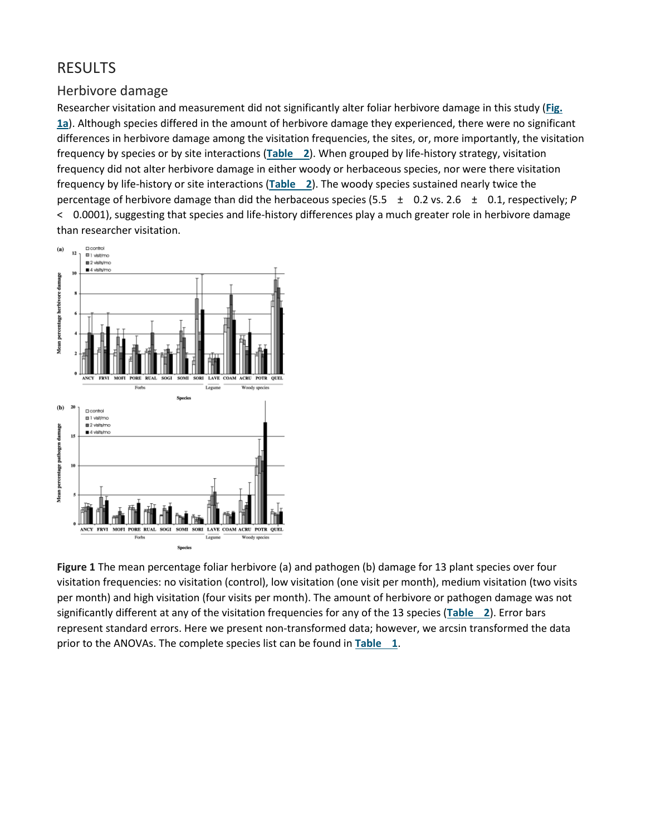## RESULTS

#### Herbivore damage

Researcher visitation and measurement did not significantly alter foliar herbivore damage in this study (**[Fig.](https://onlinelibrary.wiley.com/doi/full/10.1046/j.1461-0248.2002.00357.x#f1) [1a](https://onlinelibrary.wiley.com/doi/full/10.1046/j.1461-0248.2002.00357.x#f1)**). Although species differed in the amount of herbivore damage they experienced, there were no significant differences in herbivore damage among the visitation frequencies, the sites, or, more importantly, the visitation frequency by species or by site interactions (**[Table](https://onlinelibrary.wiley.com/doi/full/10.1046/j.1461-0248.2002.00357.x#t2) 2**). When grouped by life-history strategy, visitation frequency did not alter herbivore damage in either woody or herbaceous species, nor were there visitation frequency by life-history or site interactions (**[Table](https://onlinelibrary.wiley.com/doi/full/10.1046/j.1461-0248.2002.00357.x#t2) 2**). The woody species sustained nearly twice the percentage of herbivore damage than did the herbaceous species (5.5 ± 0.2 vs. 2.6 ± 0.1, respectively; *P* < 0.0001), suggesting that species and life-history differences play a much greater role in herbivore damage than researcher visitation.



**Figure 1** The mean percentage foliar herbivore (a) and pathogen (b) damage for 13 plant species over four visitation frequencies: no visitation (control), low visitation (one visit per month), medium visitation (two visits per month) and high visitation (four visits per month). The amount of herbivore or pathogen damage was not significantly different at any of the visitation frequencies for any of the 13 species (**[Table](https://onlinelibrary.wiley.com/doi/full/10.1046/j.1461-0248.2002.00357.x#t2) 2**). Error bars represent standard errors. Here we present non-transformed data; however, we arcsin transformed the data prior to the ANOVAs. The complete species list can be found in **[Table](https://onlinelibrary.wiley.com/doi/full/10.1046/j.1461-0248.2002.00357.x#t1) 1**.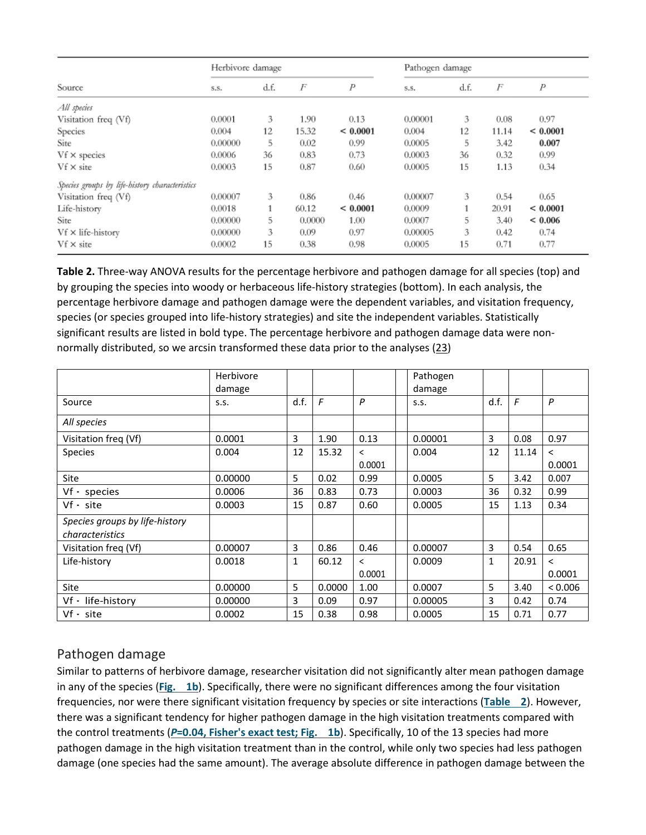|                                                | Herbivore damage |      |        |              | Pathogen damage |      |       |              |
|------------------------------------------------|------------------|------|--------|--------------|-----------------|------|-------|--------------|
| Source                                         | S.S.             | d.f. | F      | Ρ            | S.S.            | d.f. | F     | P            |
| All species                                    |                  |      |        |              |                 |      |       |              |
| Visitation freq (Vf)                           | 0.0001           | 3    | 1.90   | 0.13         | 0.00001         | 3    | 0.08  | 0.97         |
| Species                                        | 0.004            | 12   | 15.32  | ${}< 0.0001$ | 0.004           | 12   | 11.14 | ${}< 0.0001$ |
| Site                                           | 0,00000          | 5    | 0.02   | 0.99         | 0.0005          | 5    | 3.42  | 0.007        |
| $Vf \times species$                            | 0.0006           | 36   | 0.83   | 0.73         | 0.0003          | 36   | 0.32  | 0.99         |
| $Vf \times$ site                               | 0.0003           | 15   | 0.87   | 0.60         | 0.0005          | 15   | 1.13  | 0.34         |
| Species groups by life-history characteristics |                  |      |        |              |                 |      |       |              |
| Visitation freq (Vf)                           | 0.00007          | 3    | 0.86   | 0.46         | 0.00007         | 3    | 0.54  | 0.65         |
| Life-history                                   | 0.0018           |      | 60.12  | ${}< 0.0001$ | 0.0009          |      | 20.91 | ${}< 0.0001$ |
| Site                                           | 0.00000          | 5    | 0.0000 | 1.00         | 0.0007          | 5    | 3.40  | ${}< 0.006$  |
| Vf × life-history                              | 0.00000          | 3    | 0.09   | 0.97         | 0.00005         | 3    | 0.42  | 0.74         |
| $Vf \times$ site                               | 0.0002           | 15   | 0.38   | 0.98         | 0.0005          | 15   | 0.71  | 0.77         |

**Table 2.** Three-way ANOVA results for the percentage herbivore and pathogen damage for all species (top) and by grouping the species into woody or herbaceous life-history strategies (bottom). In each analysis, the percentage herbivore damage and pathogen damage were the dependent variables, and visitation frequency, species (or species grouped into life-history strategies) and site the independent variables. Statistically significant results are listed in bold type. The percentage herbivore and pathogen damage data were nonnormally distributed, so we arcsin transformed these data prior to the analyses [\(23\)](https://onlinelibrary.wiley.com/doi/full/10.1046/j.1461-0248.2002.00357.x#b23)

|                                                          | Herbivore<br>damage |      |        |                                    | Pathogen<br>damage |      |            |                                    |
|----------------------------------------------------------|---------------------|------|--------|------------------------------------|--------------------|------|------------|------------------------------------|
| Source                                                   | S.S.                | d.f. | F      | P                                  | S.S.               | d.f. | $\sqrt{2}$ | P                                  |
| All species                                              |                     |      |        |                                    |                    |      |            |                                    |
| Visitation freq (Vf)                                     | 0.0001              | 3    | 1.90   | 0.13                               | 0.00001            | 3    | 0.08       | 0.97                               |
| <b>Species</b>                                           | 0.004               | 12   | 15.32  | $\overline{\phantom{a}}$<br>0.0001 | 0.004              | 12   | 11.14      | $\overline{\phantom{0}}$<br>0.0001 |
| Site                                                     | 0.00000             | 5    | 0.02   | 0.99                               | 0.0005             | 5    | 3.42       | 0.007                              |
| $Vf - species$                                           | 0.0006              | 36   | 0.83   | 0.73                               | 0.0003             | 36   | 0.32       | 0.99                               |
| $Vf - site$                                              | 0.0003              | 15   | 0.87   | 0.60                               | 0.0005             | 15   | 1.13       | 0.34                               |
| Species groups by life-history<br><i>characteristics</i> |                     |      |        |                                    |                    |      |            |                                    |
| Visitation freg (Vf)                                     | 0.00007             | 3    | 0.86   | 0.46                               | 0.00007            | 3    | 0.54       | 0.65                               |
| Life-history                                             | 0.0018              | 1    | 60.12  | $\overline{\phantom{0}}$           | 0.0009             | 1    | 20.91      | $\overline{\phantom{0}}$           |
|                                                          |                     |      |        | 0.0001                             |                    |      |            | 0.0001                             |
| Site                                                     | 0.00000             | 5    | 0.0000 | 1.00                               | 0.0007             | 5    | 3.40       | < 0.006                            |
| Vf - life-history                                        | 0.00000             | 3    | 0.09   | 0.97                               | 0.00005            | 3    | 0.42       | 0.74                               |
| $Vf - site$                                              | 0.0002              | 15   | 0.38   | 0.98                               | 0.0005             | 15   | 0.71       | 0.77                               |

## Pathogen damage

Similar to patterns of herbivore damage, researcher visitation did not significantly alter mean pathogen damage in any of the species (**[Fig.](https://onlinelibrary.wiley.com/doi/full/10.1046/j.1461-0248.2002.00357.x#f1) 1b**). Specifically, there were no significant differences among the four visitation frequencies, nor were there significant visitation frequency by species or site interactions (**[Table](https://onlinelibrary.wiley.com/doi/full/10.1046/j.1461-0248.2002.00357.x#t2) 2**). However, there was a significant tendency for higher pathogen damage in the high visitation treatments compared with the control treatments (*P***[=0.04, Fisher's exact test; Fig.](https://onlinelibrary.wiley.com/doi/full/10.1046/j.1461-0248.2002.00357.x#f1) 1b**). Specifically, 10 of the 13 species had more pathogen damage in the high visitation treatment than in the control, while only two species had less pathogen damage (one species had the same amount). The average absolute difference in pathogen damage between the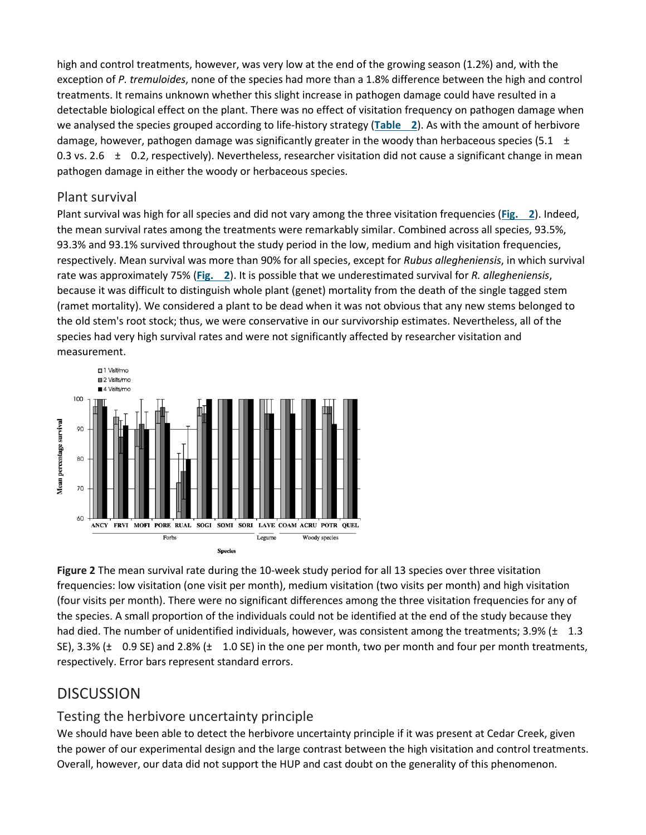high and control treatments, however, was very low at the end of the growing season (1.2%) and, with the exception of *P. tremuloides*, none of the species had more than a 1.8% difference between the high and control treatments. It remains unknown whether this slight increase in pathogen damage could have resulted in a detectable biological effect on the plant. There was no effect of visitation frequency on pathogen damage when we analysed the species grouped according to life-history strategy (**[Table](https://onlinelibrary.wiley.com/doi/full/10.1046/j.1461-0248.2002.00357.x#t2) 2**). As with the amount of herbivore damage, however, pathogen damage was significantly greater in the woody than herbaceous species (5.1  $\pm$ 0.3 vs. 2.6  $\pm$  0.2, respectively). Nevertheless, researcher visitation did not cause a significant change in mean pathogen damage in either the woody or herbaceous species.

### Plant survival

Plant survival was high for all species and did not vary among the three visitation frequencies (**[Fig.](https://onlinelibrary.wiley.com/doi/full/10.1046/j.1461-0248.2002.00357.x#f2) 2**). Indeed, the mean survival rates among the treatments were remarkably similar. Combined across all species, 93.5%, 93.3% and 93.1% survived throughout the study period in the low, medium and high visitation frequencies, respectively. Mean survival was more than 90% for all species, except for *Rubus allegheniensis*, in which survival rate was approximately 75% (**[Fig.](https://onlinelibrary.wiley.com/doi/full/10.1046/j.1461-0248.2002.00357.x#f2) 2**). It is possible that we underestimated survival for *R. allegheniensis*, because it was difficult to distinguish whole plant (genet) mortality from the death of the single tagged stem (ramet mortality). We considered a plant to be dead when it was not obvious that any new stems belonged to the old stem's root stock; thus, we were conservative in our survivorship estimates. Nevertheless, all of the species had very high survival rates and were not significantly affected by researcher visitation and measurement.



**Figure 2** The mean survival rate during the 10-week study period for all 13 species over three visitation frequencies: low visitation (one visit per month), medium visitation (two visits per month) and high visitation (four visits per month). There were no significant differences among the three visitation frequencies for any of the species. A small proportion of the individuals could not be identified at the end of the study because they had died. The number of unidentified individuals, however, was consistent among the treatments; 3.9% ( $\pm$  1.3 SE), 3.3% ( $\pm$  0.9 SE) and 2.8% ( $\pm$  1.0 SE) in the one per month, two per month and four per month treatments, respectively. Error bars represent standard errors.

## **DISCUSSION**

## Testing the herbivore uncertainty principle

We should have been able to detect the herbivore uncertainty principle if it was present at Cedar Creek, given the power of our experimental design and the large contrast between the high visitation and control treatments. Overall, however, our data did not support the HUP and cast doubt on the generality of this phenomenon.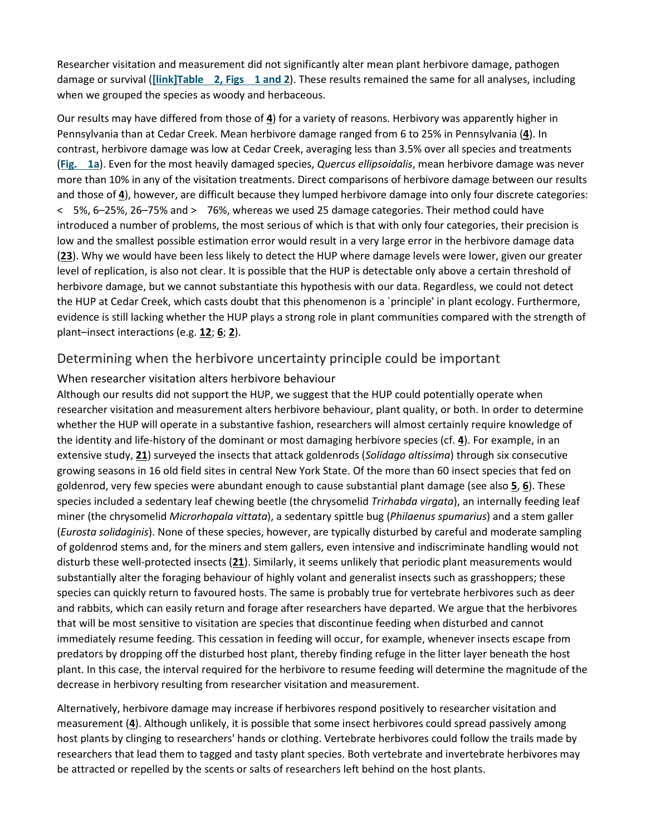Researcher visitation and measurement did not significantly alter mean plant herbivore damage, pathogen damage or survival (**[\[link\]T](https://onlinelibrary.wiley.com/doi/full/10.1046/j.1461-0248.2002.00357.x#f1)able 2, Figs [1 and 2](https://onlinelibrary.wiley.com/doi/full/10.1046/j.1461-0248.2002.00357.x#f2)**). These results remained the same for all analyses, including when we grouped the species as woody and herbaceous.

Our results may have differed from those of **[4](https://onlinelibrary.wiley.com/doi/full/10.1046/j.1461-0248.2002.00357.x#b4)**) for a variety of reasons. Herbivory was apparently higher in Pennsylvania than at Cedar Creek. Mean herbivore damage ranged from 6 to 25% in Pennsylvania (**[4](https://onlinelibrary.wiley.com/doi/full/10.1046/j.1461-0248.2002.00357.x#b4)**). In contrast, herbivore damage was low at Cedar Creek, averaging less than 3.5% over all species and treatments (**[Fig.](https://onlinelibrary.wiley.com/doi/full/10.1046/j.1461-0248.2002.00357.x#f1) 1a**). Even for the most heavily damaged species, *Quercus ellipsoidalis*, mean herbivore damage was never more than 10% in any of the visitation treatments. Direct comparisons of herbivore damage between our results and those of **[4](https://onlinelibrary.wiley.com/doi/full/10.1046/j.1461-0248.2002.00357.x#b4)**), however, are difficult because they lumped herbivore damage into only four discrete categories: < 5%, 6–25%, 26–75% and > 76%, whereas we used 25 damage categories. Their method could have introduced a number of problems, the most serious of which is that with only four categories, their precision is low and the smallest possible estimation error would result in a very large error in the herbivore damage data (**[23](https://onlinelibrary.wiley.com/doi/full/10.1046/j.1461-0248.2002.00357.x#b23)**). Why we would have been less likely to detect the HUP where damage levels were lower, given our greater level of replication, is also not clear. It is possible that the HUP is detectable only above a certain threshold of herbivore damage, but we cannot substantiate this hypothesis with our data. Regardless, we could not detect the HUP at Cedar Creek, which casts doubt that this phenomenon is a `principle' in plant ecology. Furthermore, evidence is still lacking whether the HUP plays a strong role in plant communities compared with the strength of plant–insect interactions (e.g. **[12](https://onlinelibrary.wiley.com/doi/full/10.1046/j.1461-0248.2002.00357.x#b12)**; **[6](https://onlinelibrary.wiley.com/doi/full/10.1046/j.1461-0248.2002.00357.x#b6)**; **[2](https://onlinelibrary.wiley.com/doi/full/10.1046/j.1461-0248.2002.00357.x#b2)**).

#### Determining when the herbivore uncertainty principle could be important

#### When researcher visitation alters herbivore behaviour

Although our results did not support the HUP, we suggest that the HUP could potentially operate when researcher visitation and measurement alters herbivore behaviour, plant quality, or both. In order to determine whether the HUP will operate in a substantive fashion, researchers will almost certainly require knowledge of the identity and life-history of the dominant or most damaging herbivore species (cf. **[4](https://onlinelibrary.wiley.com/doi/full/10.1046/j.1461-0248.2002.00357.x#b4)**). For example, in an extensive study, **[21](https://onlinelibrary.wiley.com/doi/full/10.1046/j.1461-0248.2002.00357.x#b21)**) surveyed the insects that attack goldenrods (*Solidago altissima*) through six consecutive growing seasons in 16 old field sites in central New York State. Of the more than 60 insect species that fed on goldenrod, very few species were abundant enough to cause substantial plant damage (see also **[5](https://onlinelibrary.wiley.com/doi/full/10.1046/j.1461-0248.2002.00357.x#b5)**, **[6](https://onlinelibrary.wiley.com/doi/full/10.1046/j.1461-0248.2002.00357.x#b6)**). These species included a sedentary leaf chewing beetle (the chrysomelid *Trirhabda virgata*), an internally feeding leaf miner (the chrysomelid *Microrhopala vittata*), a sedentary spittle bug (*Philaenus spumarius*) and a stem galler (*Eurosta solidaginis*). None of these species, however, are typically disturbed by careful and moderate sampling of goldenrod stems and, for the miners and stem gallers, even intensive and indiscriminate handling would not disturb these well-protected insects (**[21](https://onlinelibrary.wiley.com/doi/full/10.1046/j.1461-0248.2002.00357.x#b21)**). Similarly, it seems unlikely that periodic plant measurements would substantially alter the foraging behaviour of highly volant and generalist insects such as grasshoppers; these species can quickly return to favoured hosts. The same is probably true for vertebrate herbivores such as deer and rabbits, which can easily return and forage after researchers have departed. We argue that the herbivores that will be most sensitive to visitation are species that discontinue feeding when disturbed and cannot immediately resume feeding. This cessation in feeding will occur, for example, whenever insects escape from predators by dropping off the disturbed host plant, thereby finding refuge in the litter layer beneath the host plant. In this case, the interval required for the herbivore to resume feeding will determine the magnitude of the decrease in herbivory resulting from researcher visitation and measurement.

Alternatively, herbivore damage may increase if herbivores respond positively to researcher visitation and measurement (**[4](https://onlinelibrary.wiley.com/doi/full/10.1046/j.1461-0248.2002.00357.x#b4)**). Although unlikely, it is possible that some insect herbivores could spread passively among host plants by clinging to researchers' hands or clothing. Vertebrate herbivores could follow the trails made by researchers that lead them to tagged and tasty plant species. Both vertebrate and invertebrate herbivores may be attracted or repelled by the scents or salts of researchers left behind on the host plants.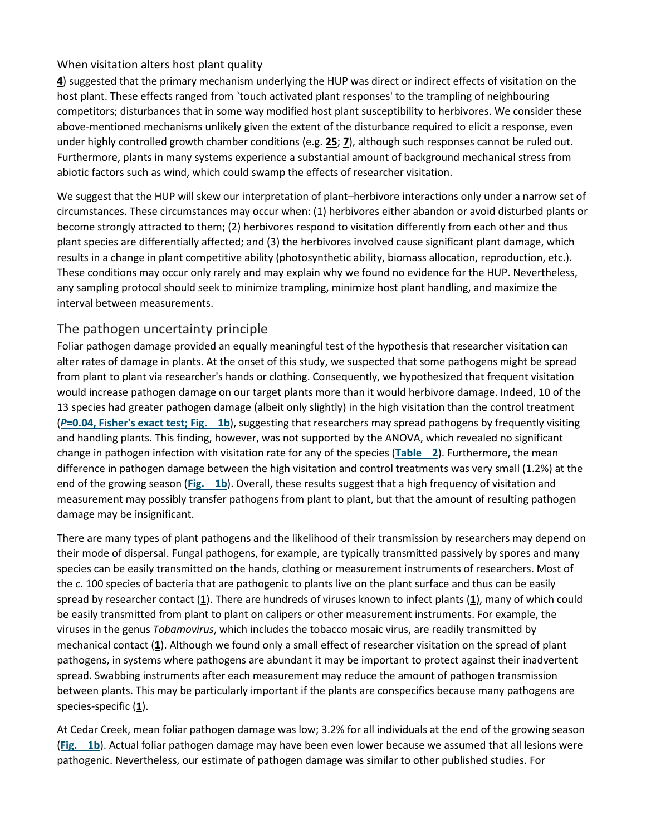#### When visitation alters host plant quality

**[4](https://onlinelibrary.wiley.com/doi/full/10.1046/j.1461-0248.2002.00357.x#b4)**) suggested that the primary mechanism underlying the HUP was direct or indirect effects of visitation on the host plant. These effects ranged from `touch activated plant responses' to the trampling of neighbouring competitors; disturbances that in some way modified host plant susceptibility to herbivores. We consider these above-mentioned mechanisms unlikely given the extent of the disturbance required to elicit a response, even under highly controlled growth chamber conditions (e.g. **[25](https://onlinelibrary.wiley.com/doi/full/10.1046/j.1461-0248.2002.00357.x#b25)**; **[7](https://onlinelibrary.wiley.com/doi/full/10.1046/j.1461-0248.2002.00357.x#b7)**), although such responses cannot be ruled out. Furthermore, plants in many systems experience a substantial amount of background mechanical stress from abiotic factors such as wind, which could swamp the effects of researcher visitation.

We suggest that the HUP will skew our interpretation of plant–herbivore interactions only under a narrow set of circumstances. These circumstances may occur when: (1) herbivores either abandon or avoid disturbed plants or become strongly attracted to them; (2) herbivores respond to visitation differently from each other and thus plant species are differentially affected; and (3) the herbivores involved cause significant plant damage, which results in a change in plant competitive ability (photosynthetic ability, biomass allocation, reproduction, etc.). These conditions may occur only rarely and may explain why we found no evidence for the HUP. Nevertheless, any sampling protocol should seek to minimize trampling, minimize host plant handling, and maximize the interval between measurements.

#### The pathogen uncertainty principle

Foliar pathogen damage provided an equally meaningful test of the hypothesis that researcher visitation can alter rates of damage in plants. At the onset of this study, we suspected that some pathogens might be spread from plant to plant via researcher's hands or clothing. Consequently, we hypothesized that frequent visitation would increase pathogen damage on our target plants more than it would herbivore damage. Indeed, 10 of the 13 species had greater pathogen damage (albeit only slightly) in the high visitation than the control treatment (*P***[=0.04, Fisher's exact test; Fig.](https://onlinelibrary.wiley.com/doi/full/10.1046/j.1461-0248.2002.00357.x#f1) 1b**), suggesting that researchers may spread pathogens by frequently visiting and handling plants. This finding, however, was not supported by the ANOVA, which revealed no significant change in pathogen infection with visitation rate for any of the species (**[Table](https://onlinelibrary.wiley.com/doi/full/10.1046/j.1461-0248.2002.00357.x#t2) 2**). Furthermore, the mean difference in pathogen damage between the high visitation and control treatments was very small (1.2%) at the end of the growing season (**[Fig.](https://onlinelibrary.wiley.com/doi/full/10.1046/j.1461-0248.2002.00357.x#f1) 1b**). Overall, these results suggest that a high frequency of visitation and measurement may possibly transfer pathogens from plant to plant, but that the amount of resulting pathogen damage may be insignificant.

There are many types of plant pathogens and the likelihood of their transmission by researchers may depend on their mode of dispersal. Fungal pathogens, for example, are typically transmitted passively by spores and many species can be easily transmitted on the hands, clothing or measurement instruments of researchers. Most of the *c*. 100 species of bacteria that are pathogenic to plants live on the plant surface and thus can be easily spread by researcher contact (**[1](https://onlinelibrary.wiley.com/doi/full/10.1046/j.1461-0248.2002.00357.x#b1)**). There are hundreds of viruses known to infect plants (**[1](https://onlinelibrary.wiley.com/doi/full/10.1046/j.1461-0248.2002.00357.x#b1)**), many of which could be easily transmitted from plant to plant on calipers or other measurement instruments. For example, the viruses in the genus *Tobamovirus*, which includes the tobacco mosaic virus, are readily transmitted by mechanical contact (**[1](https://onlinelibrary.wiley.com/doi/full/10.1046/j.1461-0248.2002.00357.x#b1)**). Although we found only a small effect of researcher visitation on the spread of plant pathogens, in systems where pathogens are abundant it may be important to protect against their inadvertent spread. Swabbing instruments after each measurement may reduce the amount of pathogen transmission between plants. This may be particularly important if the plants are conspecifics because many pathogens are species-specific (**[1](https://onlinelibrary.wiley.com/doi/full/10.1046/j.1461-0248.2002.00357.x#b1)**).

At Cedar Creek, mean foliar pathogen damage was low; 3.2% for all individuals at the end of the growing season (**[Fig.](https://onlinelibrary.wiley.com/doi/full/10.1046/j.1461-0248.2002.00357.x#f1) 1b**). Actual foliar pathogen damage may have been even lower because we assumed that all lesions were pathogenic. Nevertheless, our estimate of pathogen damage was similar to other published studies. For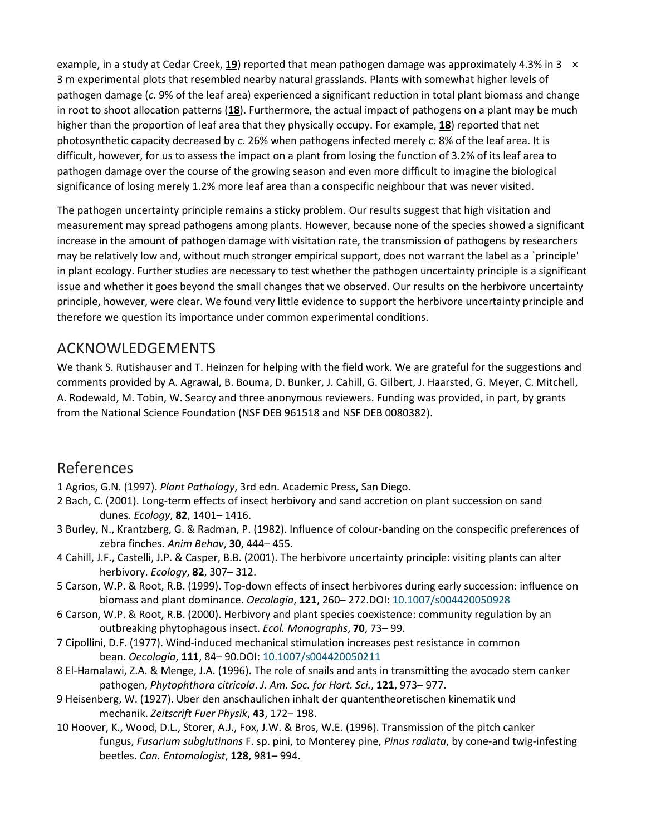example, in a study at Cedar Creek, **[19](https://onlinelibrary.wiley.com/doi/full/10.1046/j.1461-0248.2002.00357.x#b19)**) reported that mean pathogen damage was approximately 4.3% in 3 × 3 m experimental plots that resembled nearby natural grasslands. Plants with somewhat higher levels of pathogen damage (*c*. 9% of the leaf area) experienced a significant reduction in total plant biomass and change in root to shoot allocation patterns (**[18](https://onlinelibrary.wiley.com/doi/full/10.1046/j.1461-0248.2002.00357.x#b18)**). Furthermore, the actual impact of pathogens on a plant may be much higher than the proportion of leaf area that they physically occupy. For example, **[18](https://onlinelibrary.wiley.com/doi/full/10.1046/j.1461-0248.2002.00357.x#b18)**) reported that net photosynthetic capacity decreased by *c*. 26% when pathogens infected merely *c*. 8% of the leaf area. It is difficult, however, for us to assess the impact on a plant from losing the function of 3.2% of its leaf area to pathogen damage over the course of the growing season and even more difficult to imagine the biological significance of losing merely 1.2% more leaf area than a conspecific neighbour that was never visited.

The pathogen uncertainty principle remains a sticky problem. Our results suggest that high visitation and measurement may spread pathogens among plants. However, because none of the species showed a significant increase in the amount of pathogen damage with visitation rate, the transmission of pathogens by researchers may be relatively low and, without much stronger empirical support, does not warrant the label as a `principle' in plant ecology. Further studies are necessary to test whether the pathogen uncertainty principle is a significant issue and whether it goes beyond the small changes that we observed. Our results on the herbivore uncertainty principle, however, were clear. We found very little evidence to support the herbivore uncertainty principle and therefore we question its importance under common experimental conditions.

## ACKNOWLEDGEMENTS

We thank S. Rutishauser and T. Heinzen for helping with the field work. We are grateful for the suggestions and comments provided by A. Agrawal, B. Bouma, D. Bunker, J. Cahill, G. Gilbert, J. Haarsted, G. Meyer, C. Mitchell, A. Rodewald, M. Tobin, W. Searcy and three anonymous reviewers. Funding was provided, in part, by grants from the National Science Foundation (NSF DEB 961518 and NSF DEB 0080382).

## References

- 1 Agrios, G.N. (1997). *Plant Pathology*, 3rd edn. Academic Press, San Diego.
- 2 Bach, C. (2001). Long-term effects of insect herbivory and sand accretion on plant succession on sand dunes. *Ecology*, **82**, 1401– 1416.
- 3 Burley, N., Krantzberg, G. & Radman, P. (1982). Influence of colour-banding on the conspecific preferences of zebra finches. *Anim Behav*, **30**, 444– 455.
- 4 Cahill, J.F., Castelli, J.P. & Casper, B.B. (2001). The herbivore uncertainty principle: visiting plants can alter herbivory. *Ecology*, **82**, 307– 312.
- 5 Carson, W.P. & Root, R.B. (1999). Top-down effects of insect herbivores during early succession: influence on biomass and plant dominance. *Oecologia*, **121**, 260– 272.DOI: [10.1007/s004420050928](https://doi.org/10.1007/s004420050928)
- 6 Carson, W.P. & Root, R.B. (2000). Herbivory and plant species coexistence: community regulation by an outbreaking phytophagous insect. *Ecol. Monographs*, **70**, 73– 99.
- 7 Cipollini, D.F. (1977). Wind-induced mechanical stimulation increases pest resistance in common bean. *Oecologia*, **111**, 84– 90.DOI: [10.1007/s004420050211](https://doi.org/10.1007/s004420050211)
- 8 El-Hamalawi, Z.A. & Menge, J.A. (1996). The role of snails and ants in transmitting the avocado stem canker pathogen, *Phytophthora citricola*. *J. Am. Soc. for Hort. Sci.*, **121**, 973– 977.
- 9 Heisenberg, W. (1927). Uber den anschaulichen inhalt der quantentheoretischen kinematik und mechanik. *Zeitscrift Fuer Physik*, **43**, 172– 198.
- 10 Hoover, K., Wood, D.L., Storer, A.J., Fox, J.W. & Bros, W.E. (1996). Transmission of the pitch canker fungus, *Fusarium subglutinans* F. sp. pini, to Monterey pine, *Pinus radiata*, by cone-and twig-infesting beetles. *Can. Entomologist*, **128**, 981– 994.